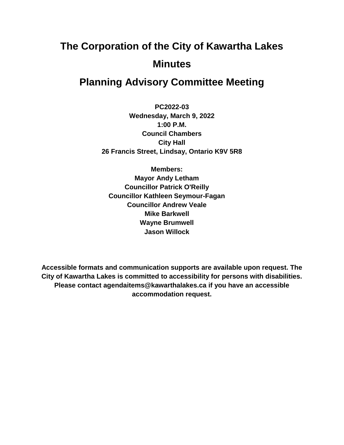# **The Corporation of the City of Kawartha Lakes Minutes**

# **Planning Advisory Committee Meeting**

**PC2022-03 Wednesday, March 9, 2022 1:00 P.M. Council Chambers City Hall 26 Francis Street, Lindsay, Ontario K9V 5R8**

**Members: Mayor Andy Letham Councillor Patrick O'Reilly Councillor Kathleen Seymour-Fagan Councillor Andrew Veale Mike Barkwell Wayne Brumwell Jason Willock**

**Accessible formats and communication supports are available upon request. The City of Kawartha Lakes is committed to accessibility for persons with disabilities. Please contact agendaitems@kawarthalakes.ca if you have an accessible accommodation request.**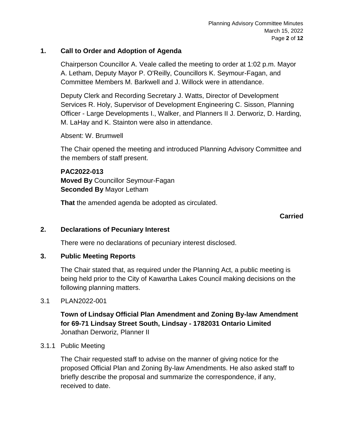#### **1. Call to Order and Adoption of Agenda**

Chairperson Councillor A. Veale called the meeting to order at 1:02 p.m. Mayor A. Letham, Deputy Mayor P. O'Reilly, Councillors K. Seymour-Fagan, and Committee Members M. Barkwell and J. Willock were in attendance.

Deputy Clerk and Recording Secretary J. Watts, Director of Development Services R. Holy, Supervisor of Development Engineering C. Sisson, Planning Officer - Large Developments I., Walker, and Planners II J. Derworiz, D. Harding, M. LaHay and K. Stainton were also in attendance.

Absent: W. Brumwell

The Chair opened the meeting and introduced Planning Advisory Committee and the members of staff present.

**PAC2022-013 Moved By** Councillor Seymour-Fagan **Seconded By** Mayor Letham

**That** the amended agenda be adopted as circulated.

#### **Carried**

#### **2. Declarations of Pecuniary Interest**

There were no declarations of pecuniary interest disclosed.

#### **3. Public Meeting Reports**

The Chair stated that, as required under the Planning Act, a public meeting is being held prior to the City of Kawartha Lakes Council making decisions on the following planning matters.

#### 3.1 PLAN2022-001

**Town of Lindsay Official Plan Amendment and Zoning By-law Amendment for 69-71 Lindsay Street South, Lindsay - 1782031 Ontario Limited** Jonathan Derworiz, Planner II

#### 3.1.1 Public Meeting

The Chair requested staff to advise on the manner of giving notice for the proposed Official Plan and Zoning By-law Amendments. He also asked staff to briefly describe the proposal and summarize the correspondence, if any, received to date.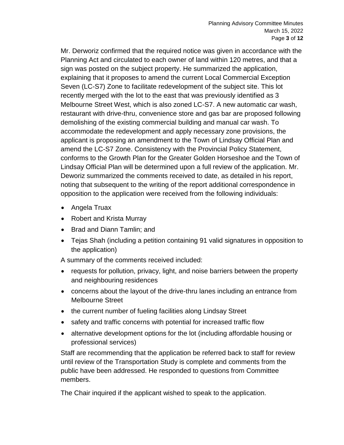Mr. Derworiz confirmed that the required notice was given in accordance with the Planning Act and circulated to each owner of land within 120 metres, and that a sign was posted on the subject property. He summarized the application, explaining that it proposes to amend the current Local Commercial Exception Seven (LC-S7) Zone to facilitate redevelopment of the subject site. This lot recently merged with the lot to the east that was previously identified as 3 Melbourne Street West, which is also zoned LC-S7. A new automatic car wash, restaurant with drive-thru, convenience store and gas bar are proposed following demolishing of the existing commercial building and manual car wash. To accommodate the redevelopment and apply necessary zone provisions, the applicant is proposing an amendment to the Town of Lindsay Official Plan and amend the LC-S7 Zone. Consistency with the Provincial Policy Statement, conforms to the Growth Plan for the Greater Golden Horseshoe and the Town of Lindsay Official Plan will be determined upon a full review of the application. Mr. Deworiz summarized the comments received to date, as detailed in his report, noting that subsequent to the writing of the report additional correspondence in opposition to the application were received from the following individuals:

- Angela Truax
- Robert and Krista Murray
- Brad and Diann Tamlin: and
- Tejas Shah (including a petition containing 91 valid signatures in opposition to the application)

A summary of the comments received included:

- requests for pollution, privacy, light, and noise barriers between the property and neighbouring residences
- concerns about the layout of the drive-thru lanes including an entrance from Melbourne Street
- the current number of fueling facilities along Lindsay Street
- safety and traffic concerns with potential for increased traffic flow
- alternative development options for the lot (including affordable housing or professional services)

Staff are recommending that the application be referred back to staff for review until review of the Transportation Study is complete and comments from the public have been addressed. He responded to questions from Committee members.

The Chair inquired if the applicant wished to speak to the application.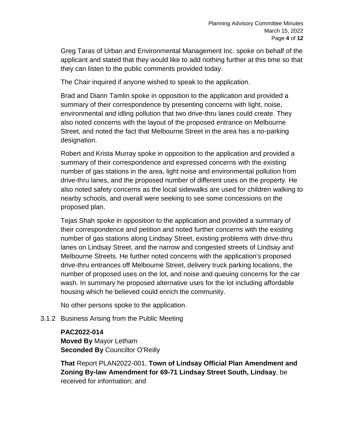Greg Taras of Urban and Environmental Management Inc. spoke on behalf of the applicant and stated that they would like to add nothing further at this time so that they can listen to the public comments provided today.

The Chair inquired if anyone wished to speak to the application.

Brad and Diann Tamlin spoke in opposition to the application and provided a summary of their correspondence by presenting concerns with light, noise, environmental and idling pollution that two drive-thru lanes could create. They also noted concerns with the layout of the proposed entrance on Melbourne Street, and noted the fact that Melbourne Street in the area has a no-parking designation.

Robert and Krista Murray spoke in opposition to the application and provided a summary of their correspondence and expressed concerns with the existing number of gas stations in the area, light noise and environmental pollution from drive-thru lanes, and the proposed number of different uses on the property. He also noted safety concerns as the local sidewalks are used for children walking to nearby schools, and overall were seeking to see some concessions on the proposed plan.

Tejas Shah spoke in opposition to the application and provided a summary of their correspondence and petition and noted further concerns with the existing number of gas stations along Lindsay Street, existing problems with drive-thru lanes on Lindsay Street, and the narrow and congested streets of Lindsay and Melbourne Streets. He further noted concerns with the application's proposed drive-thru entrances off Melbourne Street, delivery truck parking locations, the number of proposed uses on the lot, and noise and queuing concerns for the car wash. In summary he proposed alternative uses for the lot including affordable housing which he believed could enrich the community.

No other persons spoke to the application.

3.1.2 Business Arising from the Public Meeting

#### **PAC2022-014**

**Moved By** Mayor Letham **Seconded By** Councillor O'Reilly

**That** Report PLAN2022-001, **Town of Lindsay Official Plan Amendment and Zoning By-law Amendment for 69-71 Lindsay Street South, Lindsay**, be received for information; and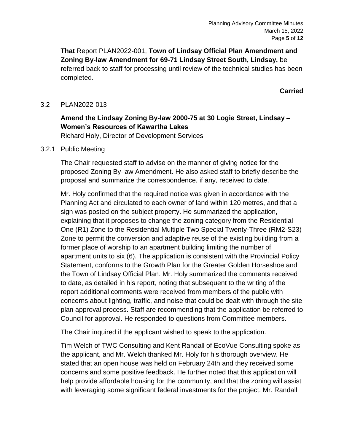**That** Report PLAN2022-001, **Town of Lindsay Official Plan Amendment and Zoning By-law Amendment for 69-71 Lindsay Street South, Lindsay,** be referred back to staff for processing until review of the technical studies has been completed.

**Carried**

#### 3.2 PLAN2022-013

## **Amend the Lindsay Zoning By-law 2000-75 at 30 Logie Street, Lindsay – Women's Resources of Kawartha Lakes**

Richard Holy, Director of Development Services

#### 3.2.1 Public Meeting

The Chair requested staff to advise on the manner of giving notice for the proposed Zoning By-law Amendment. He also asked staff to briefly describe the proposal and summarize the correspondence, if any, received to date.

Mr. Holy confirmed that the required notice was given in accordance with the Planning Act and circulated to each owner of land within 120 metres, and that a sign was posted on the subject property. He summarized the application, explaining that it proposes to change the zoning category from the Residential One (R1) Zone to the Residential Multiple Two Special Twenty-Three (RM2-S23) Zone to permit the conversion and adaptive reuse of the existing building from a former place of worship to an apartment building limiting the number of apartment units to six (6). The application is consistent with the Provincial Policy Statement, conforms to the Growth Plan for the Greater Golden Horseshoe and the Town of Lindsay Official Plan. Mr. Holy summarized the comments received to date, as detailed in his report, noting that subsequent to the writing of the report additional comments were received from members of the public with concerns about lighting, traffic, and noise that could be dealt with through the site plan approval process. Staff are recommending that the application be referred to Council for approval. He responded to questions from Committee members.

The Chair inquired if the applicant wished to speak to the application.

Tim Welch of TWC Consulting and Kent Randall of EcoVue Consulting spoke as the applicant, and Mr. Welch thanked Mr. Holy for his thorough overview. He stated that an open house was held on February 24th and they received some concerns and some positive feedback. He further noted that this application will help provide affordable housing for the community, and that the zoning will assist with leveraging some significant federal investments for the project. Mr. Randall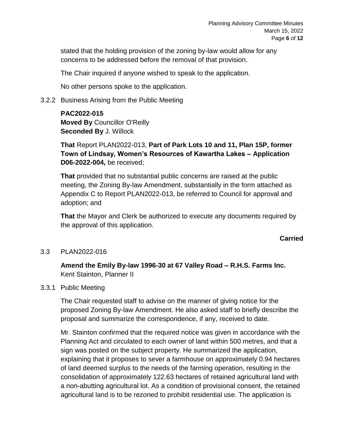stated that the holding provision of the zoning by-law would allow for any concerns to be addressed before the removal of that provision.

The Chair inquired if anyone wished to speak to the application.

No other persons spoke to the application.

#### 3.2.2 Business Arising from the Public Meeting

**PAC2022-015 Moved By** Councillor O'Reilly **Seconded By** J. Willock

**That** Report PLAN2022-013, **Part of Park Lots 10 and 11, Plan 15P, former Town of Lindsay, Women's Resources of Kawartha Lakes – Application D06-2022-004,** be received;

**That** provided that no substantial public concerns are raised at the public meeting, the Zoning By-law Amendment, substantially in the form attached as Appendix C to Report PLAN2022-013, be referred to Council for approval and adoption; and

**That** the Mayor and Clerk be authorized to execute any documents required by the approval of this application.

#### **Carried**

3.3 PLAN2022-016

**Amend the Emily By-law 1996-30 at 67 Valley Road – R.H.S. Farms Inc.** Kent Stainton, Planner II

#### 3.3.1 Public Meeting

The Chair requested staff to advise on the manner of giving notice for the proposed Zoning By-law Amendment. He also asked staff to briefly describe the proposal and summarize the correspondence, if any, received to date.

Mr. Stainton confirmed that the required notice was given in accordance with the Planning Act and circulated to each owner of land within 500 metres, and that a sign was posted on the subject property. He summarized the application, explaining that it proposes to sever a farmhouse on approximately 0.94 hectares of land deemed surplus to the needs of the farming operation, resulting in the consolidation of approximately 122.63 hectares of retained agricultural land with a non-abutting agricultural lot. As a condition of provisional consent, the retained agricultural land is to be rezoned to prohibit residential use. The application is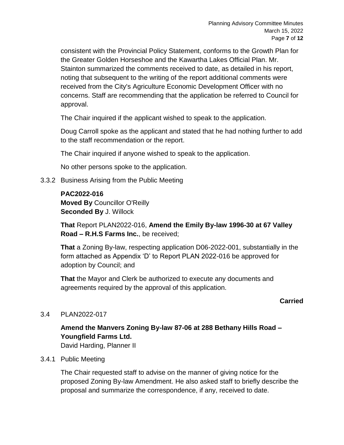consistent with the Provincial Policy Statement, conforms to the Growth Plan for the Greater Golden Horseshoe and the Kawartha Lakes Official Plan. Mr. Stainton summarized the comments received to date, as detailed in his report, noting that subsequent to the writing of the report additional comments were received from the City's Agriculture Economic Development Officer with no concerns. Staff are recommending that the application be referred to Council for approval.

The Chair inquired if the applicant wished to speak to the application.

Doug Carroll spoke as the applicant and stated that he had nothing further to add to the staff recommendation or the report.

The Chair inquired if anyone wished to speak to the application.

No other persons spoke to the application.

3.3.2 Business Arising from the Public Meeting

#### **PAC2022-016**

**Moved By** Councillor O'Reilly **Seconded By** J. Willock

**That** Report PLAN2022-016, **Amend the Emily By-law 1996-30 at 67 Valley Road – R.H.S Farms Inc.**, be received;

**That** a Zoning By-law, respecting application D06-2022-001, substantially in the form attached as Appendix 'D' to Report PLAN 2022-016 be approved for adoption by Council; and

**That** the Mayor and Clerk be authorized to execute any documents and agreements required by the approval of this application.

#### **Carried**

#### 3.4 PLAN2022-017

## **Amend the Manvers Zoning By-law 87-06 at 288 Bethany Hills Road – Youngfield Farms Ltd.**

David Harding, Planner II

#### 3.4.1 Public Meeting

The Chair requested staff to advise on the manner of giving notice for the proposed Zoning By-law Amendment. He also asked staff to briefly describe the proposal and summarize the correspondence, if any, received to date.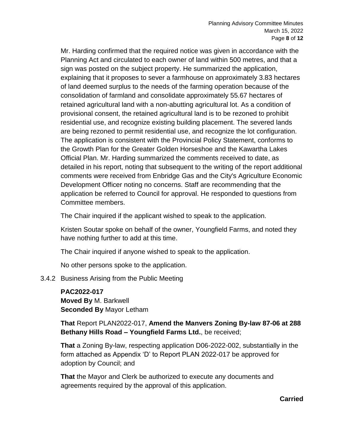Mr. Harding confirmed that the required notice was given in accordance with the Planning Act and circulated to each owner of land within 500 metres, and that a sign was posted on the subject property. He summarized the application, explaining that it proposes to sever a farmhouse on approximately 3.83 hectares of land deemed surplus to the needs of the farming operation because of the consolidation of farmland and consolidate approximately 55.67 hectares of retained agricultural land with a non-abutting agricultural lot. As a condition of provisional consent, the retained agricultural land is to be rezoned to prohibit residential use, and recognize existing building placement. The severed lands are being rezoned to permit residential use, and recognize the lot configuration. The application is consistent with the Provincial Policy Statement, conforms to the Growth Plan for the Greater Golden Horseshoe and the Kawartha Lakes Official Plan. Mr. Harding summarized the comments received to date, as detailed in his report, noting that subsequent to the writing of the report additional comments were received from Enbridge Gas and the City's Agriculture Economic Development Officer noting no concerns. Staff are recommending that the application be referred to Council for approval. He responded to questions from Committee members.

The Chair inquired if the applicant wished to speak to the application.

Kristen Soutar spoke on behalf of the owner, Youngfield Farms, and noted they have nothing further to add at this time.

The Chair inquired if anyone wished to speak to the application.

No other persons spoke to the application.

3.4.2 Business Arising from the Public Meeting

**PAC2022-017 Moved By** M. Barkwell **Seconded By** Mayor Letham

**That** Report PLAN2022-017, **Amend the Manvers Zoning By-law 87-06 at 288 Bethany Hills Road – Youngfield Farms Ltd.**, be received;

**That** a Zoning By-law, respecting application D06-2022-002, substantially in the form attached as Appendix 'D' to Report PLAN 2022-017 be approved for adoption by Council; and

**That** the Mayor and Clerk be authorized to execute any documents and agreements required by the approval of this application.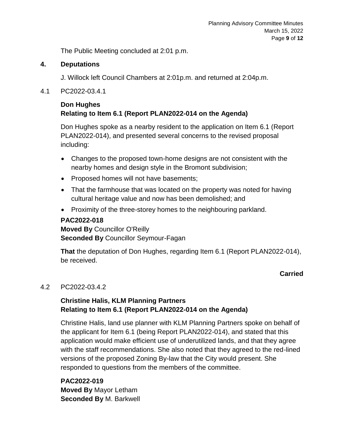The Public Meeting concluded at 2:01 p.m.

#### **4. Deputations**

J. Willock left Council Chambers at 2:01p.m. and returned at 2:04p.m.

4.1 PC2022-03.4.1

#### **Don Hughes Relating to Item 6.1 (Report PLAN2022-014 on the Agenda)**

Don Hughes spoke as a nearby resident to the application on Item 6.1 (Report PLAN2022-014), and presented several concerns to the revised proposal including:

- Changes to the proposed town-home designs are not consistent with the nearby homes and design style in the Bromont subdivision;
- Proposed homes will not have basements;
- That the farmhouse that was located on the property was noted for having cultural heritage value and now has been demolished; and
- Proximity of the three-storey homes to the neighbouring parkland.

#### **PAC2022-018**

**Moved By** Councillor O'Reilly **Seconded By** Councillor Seymour-Fagan

**That** the deputation of Don Hughes, regarding Item 6.1 (Report PLAN2022-014), be received.

#### **Carried**

#### 4.2 PC2022-03.4.2

## **Christine Halis, KLM Planning Partners Relating to Item 6.1 (Report PLAN2022-014 on the Agenda)**

Christine Halis, land use planner with KLM Planning Partners spoke on behalf of the applicant for Item 6.1 (being Report PLAN2022-014), and stated that this application would make efficient use of underutilized lands, and that they agree with the staff recommendations. She also noted that they agreed to the red-lined versions of the proposed Zoning By-law that the City would present. She responded to questions from the members of the committee.

**PAC2022-019 Moved By** Mayor Letham **Seconded By** M. Barkwell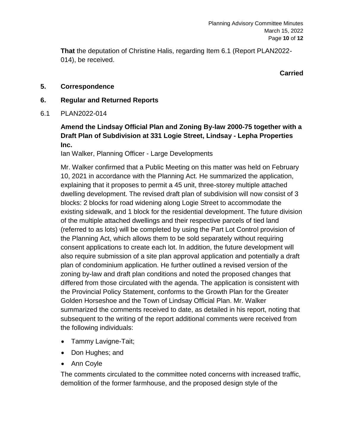**That** the deputation of Christine Halis, regarding Item 6.1 (Report PLAN2022- 014), be received.

**Carried**

#### **5. Correspondence**

#### **6. Regular and Returned Reports**

6.1 PLAN2022-014

## **Amend the Lindsay Official Plan and Zoning By-law 2000-75 together with a Draft Plan of Subdivision at 331 Logie Street, Lindsay - Lepha Properties Inc.**

Ian Walker, Planning Officer - Large Developments

Mr. Walker confirmed that a Public Meeting on this matter was held on February 10, 2021 in accordance with the Planning Act. He summarized the application, explaining that it proposes to permit a 45 unit, three-storey multiple attached dwelling development. The revised draft plan of subdivision will now consist of 3 blocks: 2 blocks for road widening along Logie Street to accommodate the existing sidewalk, and 1 block for the residential development. The future division of the multiple attached dwellings and their respective parcels of tied land (referred to as lots) will be completed by using the Part Lot Control provision of the Planning Act, which allows them to be sold separately without requiring consent applications to create each lot. In addition, the future development will also require submission of a site plan approval application and potentially a draft plan of condominium application. He further outlined a revised version of the zoning by-law and draft plan conditions and noted the proposed changes that differed from those circulated with the agenda. The application is consistent with the Provincial Policy Statement, conforms to the Growth Plan for the Greater Golden Horseshoe and the Town of Lindsay Official Plan. Mr. Walker summarized the comments received to date, as detailed in his report, noting that subsequent to the writing of the report additional comments were received from the following individuals:

- Tammy Lavigne-Tait;
- Don Hughes; and
- Ann Coyle

The comments circulated to the committee noted concerns with increased traffic, demolition of the former farmhouse, and the proposed design style of the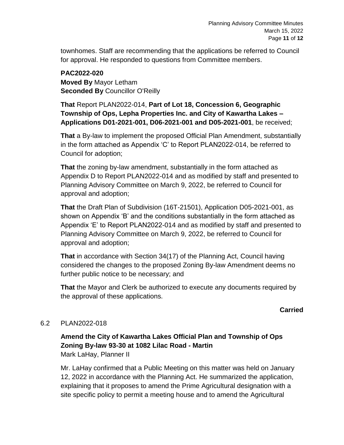townhomes. Staff are recommending that the applications be referred to Council for approval. He responded to questions from Committee members.

#### **PAC2022-020 Moved By** Mayor Letham **Seconded By** Councillor O'Reilly

**That** Report PLAN2022-014, **Part of Lot 18, Concession 6, Geographic Township of Ops, Lepha Properties Inc. and City of Kawartha Lakes – Applications D01-2021-001, D06-2021-001 and D05-2021-001**, be received;

**That** a By-law to implement the proposed Official Plan Amendment, substantially in the form attached as Appendix 'C' to Report PLAN2022-014, be referred to Council for adoption;

**That** the zoning by-law amendment, substantially in the form attached as Appendix D to Report PLAN2022-014 and as modified by staff and presented to Planning Advisory Committee on March 9, 2022, be referred to Council for approval and adoption;

**That** the Draft Plan of Subdivision (16T-21501), Application D05-2021-001, as shown on Appendix 'B' and the conditions substantially in the form attached as Appendix 'E' to Report PLAN2022-014 and as modified by staff and presented to Planning Advisory Committee on March 9, 2022, be referred to Council for approval and adoption;

**That** in accordance with Section 34(17) of the Planning Act, Council having considered the changes to the proposed Zoning By-law Amendment deems no further public notice to be necessary; and

**That** the Mayor and Clerk be authorized to execute any documents required by the approval of these applications.

## **Carried**

#### 6.2 PLAN2022-018

## **Amend the City of Kawartha Lakes Official Plan and Township of Ops Zoning By-law 93-30 at 1082 Lilac Road - Martin** Mark LaHay, Planner II

Mr. LaHay confirmed that a Public Meeting on this matter was held on January 12, 2022 in accordance with the Planning Act. He summarized the application, explaining that it proposes to amend the Prime Agricultural designation with a site specific policy to permit a meeting house and to amend the Agricultural